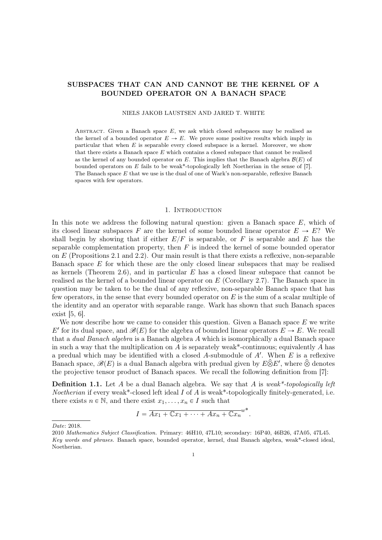# SUBSPACES THAT CAN AND CANNOT BE THE KERNEL OF A BOUNDED OPERATOR ON A BANACH SPACE

NIELS JAKOB LAUSTSEN AND JARED T. WHITE

ABSTRACT. Given a Banach space  $E$ , we ask which closed subspaces may be realised as the kernel of a bounded operator  $E \to E$ . We prove some positive results which imply in particular that when  $E$  is separable every closed subspace is a kernel. Moreover, we show that there exists a Banach space  $E$  which contains a closed subspace that cannot be realised as the kernel of any bounded operator on E. This implies that the Banach algebra  $\mathcal{B}(E)$  of bounded operators on E fails to be weak\*-topologically left Noetherian in the sense of [7]. The Banach space E that we use is the dual of one of Wark's non-separable, reflexive Banach spaces with few operators.

## 1. INTRODUCTION

In this note we address the following natural question: given a Banach space  $E$ , which of its closed linear subspaces F are the kernel of some bounded linear operator  $E \to E$ ? We shall begin by showing that if either  $E/F$  is separable, or F is separable and E has the separable complementation property, then  $F$  is indeed the kernel of some bounded operator on  $E$  (Propositions 2.1 and 2.2). Our main result is that there exists a reflexive, non-separable Banach space E for which these are the only closed linear subspaces that may be realised as kernels (Theorem 2.6), and in particular  $E$  has a closed linear subspace that cannot be realised as the kernel of a bounded linear operator on  $E$  (Corollary 2.7). The Banach space in question may be taken to be the dual of any reflexive, non-separable Banach space that has few operators, in the sense that every bounded operator on  $E$  is the sum of a scalar multiple of the identity and an operator with separable range. Wark has shown that such Banach spaces exist [5, 6].

We now describe how we came to consider this question. Given a Banach space  $E$  we write E' for its dual space, and  $\mathscr{B}(E)$  for the algebra of bounded linear operators  $E \to E$ . We recall that a dual Banach algebra is a Banach algebra A which is isomorphically a dual Banach space in such a way that the multiplication on A is separately weak\*-continuous; equivalently A has a predual which may be identified with a closed A-submodule of  $A'$ . When  $E$  is a reflexive Banach space,  $\mathscr{B}(E)$  is a dual Banach algebra with predual given by  $E \widehat{\otimes} E'$ , where  $\widehat{\otimes}$  denotes the projective tensor product of Banach spaces. We recall the following definition from [7]:

**Definition 1.1.** Let A be a dual Banach algebra. We say that A is weak\*-topologically left *Noetherian* if every weak<sup>\*</sup>-closed left ideal  $I$  of  $A$  is weak<sup>\*</sup>-topologically finitely-generated, i.e. there exists  $n \in \mathbb{N}$ , and there exist  $x_1, \ldots, x_n \in I$  such that

$$
I = \overline{Ax_1 + \mathbb{C}x_1 + \cdots + Ax_n + \mathbb{C}x_n}^{w^*}.
$$

Date: 2018.

<sup>2010</sup> Mathematics Subject Classification. Primary: 46H10, 47L10; secondary: 16P40, 46B26, 47A05, 47L45. Key words and phrases. Banach space, bounded operator, kernel, dual Banach algebra, weak\*-closed ideal, Noetherian.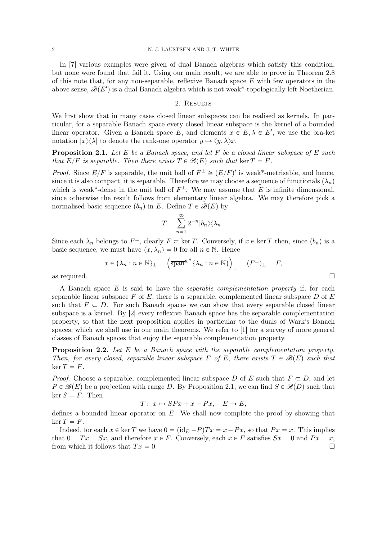In [7] various examples were given of dual Banach algebras which satisfy this condition, but none were found that fail it. Using our main result, we are able to prove in Theorem 2.8 of this note that, for any non-separable, reflexive Banach space  $E$  with few operators in the above sense,  $\mathscr{B}(E')$  is a dual Banach algebra which is not weak\*-topologically left Noetherian.

# 2. RESULTS

We first show that in many cases closed linear subspaces can be realised as kernels. In particular, for a separable Banach space every closed linear subspace is the kernel of a bounded linear operator. Given a Banach space E, and elements  $x \in E, \lambda \in E'$ , we use the bra-ket notation  $|x\rangle\langle\lambda|$  to denote the rank-one operator  $y \mapsto \langle y, \lambda \rangle x$ .

**Proposition 2.1.** Let E be a Banach space, and let F be a closed linear subspace of E such that  $E/F$  is separable. Then there exists  $T \in \mathcal{B}(E)$  such that ker  $T = F$ .

*Proof.* Since  $E/F$  is separable, the unit ball of  $F^{\perp} \cong (E/F)'$  is weak\*-metrisable, and hence, since it is also compact, it is separable. Therefore we may choose a sequence of functionals  $(\lambda_n)$ which is weak\*-dense in the unit ball of  $F^{\perp}$ . We may assume that E is infinite dimensional, since otherwise the result follows from elementary linear algebra. We may therefore pick a normalised basic sequence  $(b_n)$  in E. Define  $T \in \mathcal{B}(E)$  by

$$
T = \sum_{n=1}^{\infty} 2^{-n} |b_n\rangle\langle\lambda_n|.
$$

Since each  $\lambda_n$  belongs to  $F^{\perp}$ , clearly  $F \subset \ker T$ . Conversely, if  $x \in \ker T$  then, since  $(b_n)$  is a basic sequence, we must have  $\langle x, \lambda_n \rangle = 0$  for all  $n \in \mathbb{N}$ . Hence

$$
x \in \{\lambda_n : n \in \mathbb{N}\}_\perp = \left(\overline{\text{span}}^{w^*} \{\lambda_n : n \in \mathbb{N}\}\right)_\perp = (F^\perp)_\perp = F,
$$
 as required.

A Banach space  $E$  is said to have the *separable complementation property* if, for each separable linear subspace F of E, there is a separable, complemented linear subspace D of  $E$ such that  $F \subset D$ . For such Banach spaces we can show that every separable closed linear subspace is a kernel. By [2] every reflexive Banach space has the separable complementation property, so that the next proposition applies in particular to the duals of Wark's Banach spaces, which we shall use in our main theorems. We refer to [1] for a survey of more general classes of Banach spaces that enjoy the separable complementation property.

**Proposition 2.2.** Let E be a Banach space with the separable complementation property. Then, for every closed, separable linear subspace F of E, there exists  $T \in \mathcal{B}(E)$  such that  $\ker T = F$ .

*Proof.* Choose a separable, complemented linear subspace D of E such that  $F \subset D$ , and let  $P \in \mathcal{B}(E)$  be a projection with range D. By Proposition 2.1, we can find  $S \in \mathcal{B}(D)$  such that  $\ker S = F$ . Then

$$
T: x \mapsto SPx + x - Px, \quad E \to E,
$$

defines a bounded linear operator on  $E$ . We shall now complete the proof by showing that  $\ker T = F$ .

Indeed, for each  $x \in \ker T$  we have  $0 = (\text{id}_E - P)Tx = x - Px$ , so that  $Px = x$ . This implies that  $0 = Tx = Sx$ , and therefore  $x \in F$ . Conversely, each  $x \in F$  satisfies  $Sx = 0$  and  $Px = x$ , from which it follows that  $Tx = 0$ .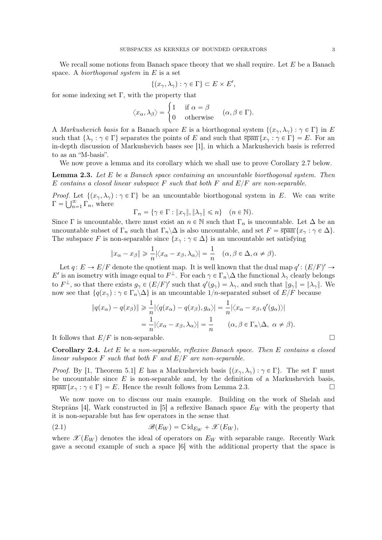We recall some notions from Banach space theory that we shall require. Let  $E$  be a Banach space. A biorthogonal system in  $E$  is a set

$$
\{(x_{\gamma}, \lambda_{\gamma}) : \gamma \in \Gamma\} \subset E \times E',
$$

for some indexing set  $\Gamma$ , with the property that<br>  $\langle x_{\alpha}, \lambda_{\beta} \rangle = \begin{cases} 1 & \text{if } \alpha \\ 0 & \text{if } \alpha \end{cases}$ 

$$
\langle x_{\alpha}, \lambda_{\beta} \rangle = \begin{cases} 1 & \text{if } \alpha = \beta \\ 0 & \text{otherwise} \end{cases} (\alpha, \beta \in \Gamma).
$$

A *Markushevich basis* for a Banach space E is a biorthogonal system  $\{(x_{\gamma}, \lambda_{\gamma}) : \gamma \in \Gamma\}$  in E such that  $\{\lambda_{\gamma} : \gamma \in \Gamma\}$  separates the points of E and such that  $\overline{\text{span}}\{x_{\gamma} : \gamma \in \Gamma\} = E$ . For an in-depth discussion of Markushevich bases see [1], in which a Markushevich basis is referred to as an "M-basis".

We now prove a lemma and its corollary which we shall use to prove Corollary 2.7 below.

**Lemma 2.3.** Let  $E$  be a Banach space containing an uncountable biorthogonal system. Then E contains a closed linear subspace F such that both F and  $E/F$  are non-separable.

Proof. Let  $\{(x_{\gamma}, \lambda_{\gamma}) : \gamma \in \Gamma\}$  be an uncountable biorthogonal system in E. We can write  $\Gamma = \bigcup_{n=1}^{\infty} \Gamma_n$ , where

$$
\Gamma_n = \{ \gamma \in \Gamma : \|x_\gamma\|, \|\lambda_\gamma\| \leqslant n \} \quad (n \in \mathbb{N}).
$$

Since Γ is uncountable, there must exist an  $n \in \mathbb{N}$  such that  $\Gamma_n$  is uncountable. Let  $\Delta$  be an uncountable subset of  $\Gamma_n$  such that  $\Gamma_n\backslash\Delta$  is also uncountable, and set  $F = \overline{\text{span}}\{x_\gamma : \gamma \in \Delta\}.$ The subspace F is non-separable since  $\{x_\gamma : \gamma \in \Delta\}$  is an uncountable set satisfying

$$
||x_{\alpha}-x_{\beta}|| \ge \frac{1}{n} |\langle x_{\alpha}-x_{\beta}, \lambda_{\alpha} \rangle| = \frac{1}{n} \quad (\alpha, \beta \in \Delta, \alpha \ne \beta).
$$

Let  $q: E \to E/F$  denote the quotient map. It is well known that the dual map  $q': (E/F)' \to$ E' is an isometry with image equal to  $F^{\perp}$ . For each  $\gamma \in \Gamma_n \backslash \Delta$  the functional  $\lambda_{\gamma}$  clearly belongs to  $F^{\perp}$ , so that there exists  $g_{\gamma} \in (E/F)'$  such that  $q'(g_{\gamma}) = \lambda_{\gamma}$ , and such that  $||g_{\gamma}|| = ||\lambda_{\gamma}||$ . We now see that  $\{q(x_\gamma):\gamma\in\Gamma_n\backslash\Delta\}$  is an uncountable 1/n-separated subset of  $E/F$  because

$$
||q(x_{\alpha}) - q(x_{\beta})|| \ge \frac{1}{n} |\langle q(x_{\alpha}) - q(x_{\beta}), g_{\alpha} \rangle| = \frac{1}{n} |\langle x_{\alpha} - x_{\beta}, q'(g_{\alpha}) \rangle|
$$
  
=  $\frac{1}{n} |\langle x_{\alpha} - x_{\beta}, \lambda_{\alpha} \rangle| = \frac{1}{n} \qquad (\alpha, \beta \in \Gamma_n \setminus \Delta, \ \alpha \ne \beta).$ 

It follows that  $E/F$  is non-separable.

Corollary 2.4. Let E be a non-separable, reflexive Banach space. Then E contains a closed linear subspace F such that both F and  $E/F$  are non-separable.

*Proof.* By [1, Theorem 5.1] E has a Markushevich basis  $\{(x_{\gamma}, \lambda_{\gamma}) : \gamma \in \Gamma\}$ . The set  $\Gamma$  must be uncountable since  $E$  is non-separable and, by the definition of a Markushevich basis,  $\overline{\text{span}}\{x_\gamma : \gamma \in \Gamma\} = E.$  Hence the result follows from Lemma 2.3.

We now move on to discuss our main example. Building on the work of Shelah and Steprāns [4], Wark constructed in [5] a reflexive Banach space  $E_W$  with the property that it is non-separable but has few operators in the sense that

(2.1) 
$$
\mathscr{B}(E_W) = \mathbb{C} \mathrm{id}_{E_W} + \mathscr{X}(E_W),
$$

where  $\mathscr{X}(E_W)$  denotes the ideal of operators on  $E_W$  with separable range. Recently Wark gave a second example of such a space [6] with the additional property that the space is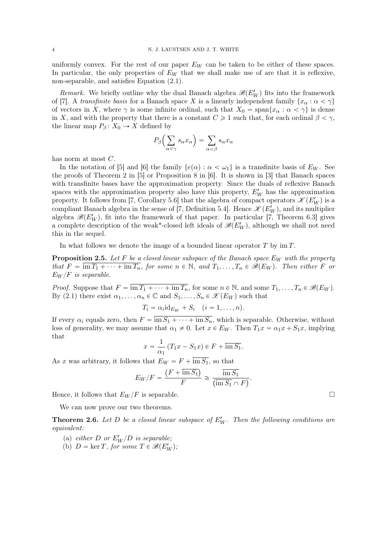uniformly convex. For the rest of our paper  $E_W$  can be taken to be either of these spaces. In particular, the only properties of  $E_W$  that we shall make use of are that it is reflexive, non-separable, and satisfies Equation (2.1).

Remark. We briefly outline why the dual Banach algebra  $\mathscr{B}(E'_W)$  fits into the framework of [7]. A transfinite basis for a Banach space X is a linearly independent family  $\{x_\alpha : \alpha < \gamma\}$ of vectors in X, where  $\gamma$  is some infinite ordinal, such that  $X_0 = \text{span}\{x_\alpha : \alpha < \gamma\}$  is dense in X, and with the property that there is a constant  $C \geq 1$  such that, for each ordinal  $\beta < \gamma$ , the linear map  $P_\beta: X_0 \to X$  defined by

$$
P_{\beta}\left(\sum_{\alpha<\gamma} s_{\alpha} x_{\alpha}\right) = \sum_{\alpha<\beta} s_{\alpha} x_{\alpha}
$$

has norm at most C.

In the notation of [5] and [6] the family  $\{e(\alpha): \alpha < \omega_1\}$  is a transfinite basis of  $E_W$ . See the proofs of Theorem 2 in [5] or Proposition 8 in [6]. It is shown in [3] that Banach spaces with transfinite bases have the approximation property. Since the duals of reflexive Banach spaces with the approximation property also have this property,  $E'_W$  has the approximation property. It follows from [7, Corollary 5.6] that the algebra of compact operators  $\mathscr{K}(E'_W)$  is a compliant Banach algebra in the sense of [7, Definition 5.4]. Hence  $\mathscr{K}(E'_W)$ , and its multiplier algebra  $\mathscr{B}(E_W')$ , fit into the framework of that paper. In particular [7, Theorem 6.3] gives a complete description of the weak\*-closed left ideals of  $\mathscr{B}(E'_W)$ , although we shall not need this in the sequel.

In what follows we denote the image of a bounded linear operator  $T$  by im  $T$ .

**Proposition 2.5.** Let F be a closed linear subspace of the Banach space  $E_W$  with the property that  $F = \overline{\text{im } T_1 + \cdots + \text{im } T_n}$ , for some  $n \in \mathbb{N}$ , and  $T_1, \ldots, T_n \in \mathscr{B}(E_W)$ . Then either F or  $E_W/F$  is separable.

*Proof.* Suppose that  $F = \overline{\text{im } T_1 + \cdots + \text{im } T_n}$ , for some  $n \in \mathbb{N}$ , and some  $T_1, \ldots, T_n \in \mathscr{B}(E_W)$ . By (2.1) there exist  $\alpha_1, \ldots, \alpha_n \in \mathbb{C}$  and  $S_1, \ldots, S_n \in \mathscr{X}(E_W)$  such that

$$
T_i = \alpha_i \mathrm{id}_{E_W} + S_i \quad (i = 1, \ldots, n).
$$

If every  $\alpha_i$  equals zero, then  $F = \overline{\text{im } S_1 + \cdots + \text{im } S_n}$ , which is separable. Otherwise, without loss of generality, we may assume that  $\alpha_1 \neq 0$ . Let  $x \in E_W$ . Then  $T_1x = \alpha_1x + S_1x$ , implying that

$$
x = \frac{1}{\alpha_1} (T_1 x - S_1 x) \in F + \overline{\text{im } S_1}.
$$

As x was arbitrary, it follows that  $E_W = F + \text{im } S_1$ , so that

$$
E_W/F = \frac{(F + \overline{\text{im } S_1})}{F} \cong \frac{\overline{\text{im } S_1}}{(\overline{\text{im } S_1} \cap F)}.
$$

Hence, it follows that  $E_W/F$  is separable.

We can now prove our two theorems.

**Theorem 2.6.** Let D be a closed linear subspace of  $E'_W$ . Then the following conditions are equivalent:

- (a) either D or  $E_W'/D$  is separable;
- (b)  $D = \ker T$ , for some  $T \in \mathcal{B}(E'_W)$ ;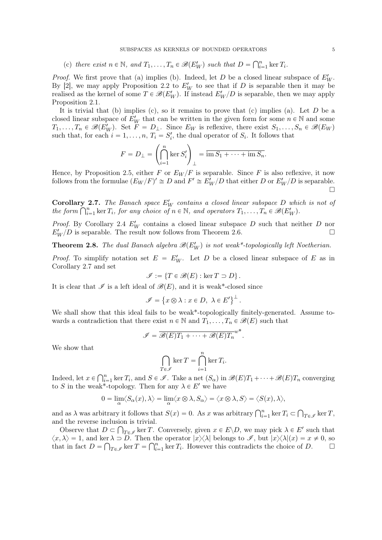(c) there exist  $n \in \mathbb{N}$ , and  $T_1, \ldots, T_n \in \mathcal{B}(E'_W)$  such that  $D =$  $\bigcap^n$  $\sum_{i=1}^n \ker T_i$ .

*Proof.* We first prove that (a) implies (b). Indeed, let D be a closed linear subspace of  $E'_W$ . By [2], we may apply Proposition 2.2 to  $E_W'$  to see that if D is separable then it may be realised as the kernel of some  $T \in \mathscr{B}(E_W')$ . If instead  $E_W'/D$  is separable, then we may apply Proposition 2.1.

It is trivial that (b) implies (c), so it remains to prove that (c) implies (a). Let  $D$  be a closed linear subspace of  $E_W'$  that can be written in the given form for some  $n \in \mathbb{N}$  and some  $T_1, \ldots, T_n \in \mathscr{B}(E_W')$ . Set  $F = D_{\perp}$ . Since  $E_W$  is reflexive, there exist  $S_1, \ldots, S_n \in \mathscr{B}(E_W)$ such that, for each  $i = 1, ..., n$ ,  $T_i = S'_i$ , the dual operator of  $S_i$ . It follows that

$$
F = D_{\perp} = \left(\bigcap_{i=1}^{n} \ker S'_{i}\right)_{\perp} = \overline{\mathrm{im} S_{1} + \cdots + \mathrm{im} S_{n}}.
$$

Hence, by Proposition 2.5, either F or  $E_W/F$  is separable. Since F is also reflexive, it now follows from the formulae  $(E_W / F)' \cong D$  and  $F' \cong E_W' / D$  that either D or  $E_W' / D$  is separable. П

**Corollary 2.7.** The Banach space  $E'_W$  contains a closed linear subspace D which is not of **Corollary 2.7.** The Banach space  $E_W$  contains a closed linear subspace D white form  $\bigcap_{i=1}^n \ker T_i$ , for any choice of  $n \in \mathbb{N}$ , and operators  $T_1, \ldots, T_n \in \mathscr{B}(E_W')$ .

*Proof.* By Corollary 2.4  $E'_W$  contains a closed linear subspace D such that neither D nor  $E'_W/D$  is separable. The result now follows from Theorem 2.6.

**Theorem 2.8.** The dual Banach algebra  $\mathscr{B}(E'_W)$  is not weak\*-topologically left Noetherian.

*Proof.* To simplify notation set  $E = E_W'$ . Let D be a closed linear subspace of E as in Corollary 2.7 and set

$$
\mathscr{I} := \{ T \in \mathscr{B}(E) : \ker T \supset D \}.
$$

It is clear that  $\mathscr I$  is a left ideal of  $\mathscr B(E)$ , and it is weak\*-closed since

$$
\mathscr{I} = \{x \otimes \lambda : x \in D, \lambda \in E'\}^{\perp}.
$$

We shall show that this ideal fails to be weak\*-topologically finitely-generated. Assume towards a contradiction that there exist  $n \in \mathbb{N}$  and  $T_1, \ldots, T_n \in \mathscr{B}(E)$  such that

$$
\mathscr{I} = \overline{\mathscr{B}(E)T_1 + \cdots + \mathscr{B}(E)T_n}^{w^*}
$$

.

We show that

$$
\bigcap_{T \in \mathscr{I}} \ker T = \bigcap_{i=1}^n \ker T_i.
$$

Indeed, let  $x \in \bigcap_{i=1}^{n}$  $i=1 \text{ ker } T_i$ , and  $S \in \mathscr{I}$ . Take a net  $(S_\alpha)$  in  $\mathscr{B}(E)T_1 + \cdots + \mathscr{B}(E)T_n$  converging to S in the weak\*-topology. Then for any  $\lambda \in E'$  we have

$$
0=\lim_\alpha \langle S_\alpha(x),\lambda\rangle=\lim_\alpha \langle x\otimes\lambda,S_\alpha\rangle=\langle x\otimes\lambda,S\rangle=\langle S(x),\lambda\rangle,
$$

and as  $\lambda$  was arbitrary it follows that  $S(x) = 0$ . As x was arbitrary  $\bigcap_{i=1}^{n} \ker T_i \subset$ Ş  $T_{\epsilon\mathscr{I}}$  ker T, and the reverse inclusion is trivial.

Observe that  $D \subset \bigcap_{T \in \mathscr{I}} \ker T$ . Conversely, given  $x \in E \backslash D$ , we may pick  $\lambda \in E'$  such that  $\langle x, \lambda \rangle = 1$ , and ker  $\lambda \supset D$ . Then the operator  $|x \rangle \langle \lambda|$  belongs to  $\mathscr{I}$ , but  $|x \rangle \langle \lambda|(x) = x \neq 0$ , so that is fact  $D = \Omega$ , lear  $T = \Omega^n$ , learly Hausson this contradicts the choice of  $D = \square$ that in fact  $D = \bigcap_{T \in \mathcal{I}} \ker T = \bigcap_{i=1}^n \ker T_i$ . However this contradicts the choice of D.